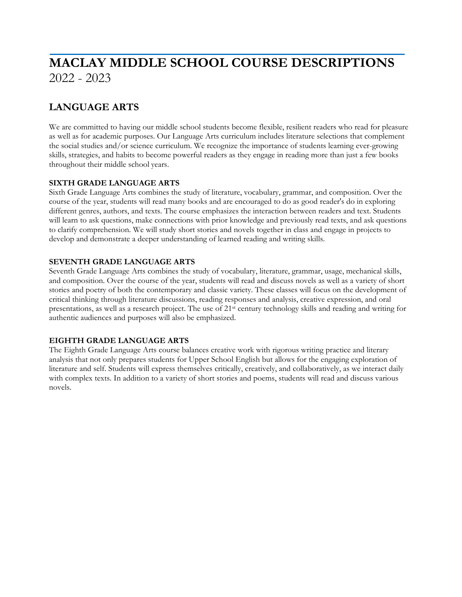# **MACLAY MIDDLE SCHOOL COURSE DESCRIPTIONS** 2022 - 2023

## **LANGUAGE ARTS**

We are committed to having our middle school students become flexible, resilient readers who read for pleasure as well as for academic purposes. Our Language Arts curriculum includes literature selections that complement the social studies and/or science curriculum. We recognize the importance of students learning ever-growing skills, strategies, and habits to become powerful readers as they engage in reading more than just a few books throughout their middle school years.

## **SIXTH GRADE LANGUAGE ARTS**

Sixth Grade Language Arts combines the study of literature, vocabulary, grammar, and composition. Over the course of the year, students will read many books and are encouraged to do as good reader's do in exploring different genres, authors, and texts. The course emphasizes the interaction between readers and text. Students will learn to ask questions, make connections with prior knowledge and previously read texts, and ask questions to clarify comprehension. We will study short stories and novels together in class and engage in projects to develop and demonstrate a deeper understanding of learned reading and writing skills.

## **SEVENTH GRADE LANGUAGE ARTS**

Seventh Grade Language Arts combines the study of vocabulary, literature, grammar, usage, mechanical skills, and composition. Over the course of the year, students will read and discuss novels as well as a variety of short stories and poetry of both the contemporary and classic variety. These classes will focus on the development of critical thinking through literature discussions, reading responses and analysis, creative expression, and oral presentations, as well as a research project. The use of 21st century technology skills and reading and writing for authentic audiences and purposes will also be emphasized.

## **EIGHTH GRADE LANGUAGE ARTS**

The Eighth Grade Language Arts course balances creative work with rigorous writing practice and literary analysis that not only prepares students for Upper School English but allows for the engaging exploration of literature and self. Students will express themselves critically, creatively, and collaboratively, as we interact daily with complex texts. In addition to a variety of short stories and poems, students will read and discuss various novels.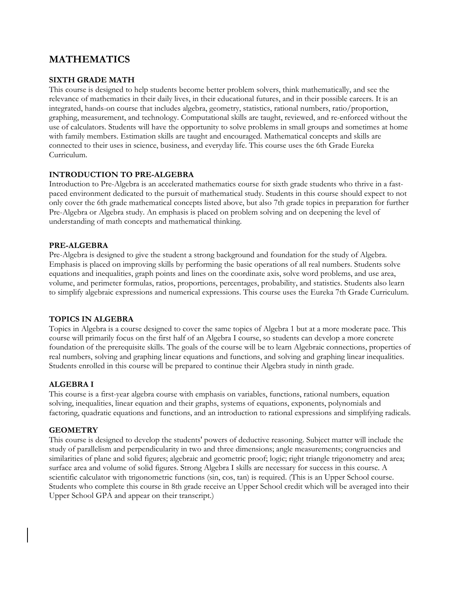## **MATHEMATICS**

## **SIXTH GRADE MATH**

This course is designed to help students become better problem solvers, think mathematically, and see the relevance of mathematics in their daily lives, in their educational futures, and in their possible careers. It is an integrated, hands-on course that includes algebra, geometry, statistics, rational numbers, ratio/proportion, graphing, measurement, and technology. Computational skills are taught, reviewed, and re-enforced without the use of calculators. Students will have the opportunity to solve problems in small groups and sometimes at home with family members. Estimation skills are taught and encouraged. Mathematical concepts and skills are connected to their uses in science, business, and everyday life. This course uses the 6th Grade Eureka Curriculum.

## **INTRODUCTION TO PRE-ALGEBRA**

Introduction to Pre-Algebra is an accelerated mathematics course for sixth grade students who thrive in a fastpaced environment dedicated to the pursuit of mathematical study. Students in this course should expect to not only cover the 6th grade mathematical concepts listed above, but also 7th grade topics in preparation for further Pre-Algebra or Algebra study. An emphasis is placed on problem solving and on deepening the level of understanding of math concepts and mathematical thinking.

## **PRE-ALGEBRA**

Pre-Algebra is designed to give the student a strong background and foundation for the study of Algebra. Emphasis is placed on improving skills by performing the basic operations of all real numbers. Students solve equations and inequalities, graph points and lines on the coordinate axis, solve word problems, and use area, volume, and perimeter formulas, ratios, proportions, percentages, probability, and statistics. Students also learn to simplify algebraic expressions and numerical expressions. This course uses the Eureka 7th Grade Curriculum.

## **TOPICS IN ALGEBRA**

Topics in Algebra is a course designed to cover the same topics of Algebra 1 but at a more moderate pace. This course will primarily focus on the first half of an Algebra I course, so students can develop a more concrete foundation of the prerequisite skills. The goals of the course will be to learn Algebraic connections, properties of real numbers, solving and graphing linear equations and functions, and solving and graphing linear inequalities. Students enrolled in this course will be prepared to continue their Algebra study in ninth grade.

## **ALGEBRA I**

This course is a first-year algebra course with emphasis on variables, functions, rational numbers, equation solving, inequalities, linear equation and their graphs, systems of equations, exponents, polynomials and factoring, quadratic equations and functions, and an introduction to rational expressions and simplifying radicals.

## **GEOMETRY**

This course is designed to develop the students' powers of deductive reasoning. Subject matter will include the study of parallelism and perpendicularity in two and three dimensions; angle measurements; congruencies and similarities of plane and solid figures; algebraic and geometric proof; logic; right triangle trigonometry and area; surface area and volume of solid figures. Strong Algebra I skills are necessary for success in this course. A scientific calculator with trigonometric functions (sin, cos, tan) is required. (This is an Upper School course. Students who complete this course in 8th grade receive an Upper School credit which will be averaged into their Upper School GPA and appear on their transcript.)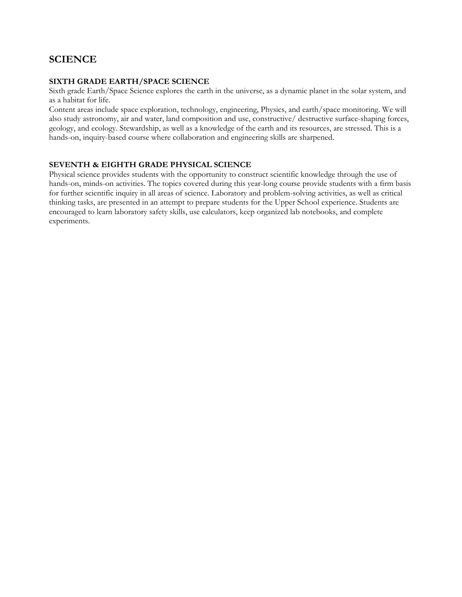## **SCIENCE**

## **SIXTH GRADE EARTH/SPACE SCIENCE**

Sixth grade Earth/Space Science explores the earth in the universe, as a dynamic planet in the solar system, and as a habitat for life.

Content areas include space exploration, technology, engineering, Physics, and earth/space monitoring. We will also study astronomy, air and water, land composition and use, constructive/ destructive surface-shaping forces, geology, and ecology. Stewardship, as well as a knowledge of the earth and its resources, are stressed. This is a hands-on, inquiry-based course where collaboration and engineering skills are sharpened.

## **SEVENTH & EIGHTH GRADE PHYSICAL SCIENCE**

Physical science provides students with the opportunity to construct scientific knowledge through the use of hands-on, minds-on activities. The topics covered during this year-long course provide students with a firm basis for further scientific inquiry in all areas of science. Laboratory and problem-solving activities, as well as critical thinking tasks, are presented in an attempt to prepare students for the Upper School experience. Students are encouraged to learn laboratory safety skills, use calculators, keep organized lab notebooks, and complete experiments.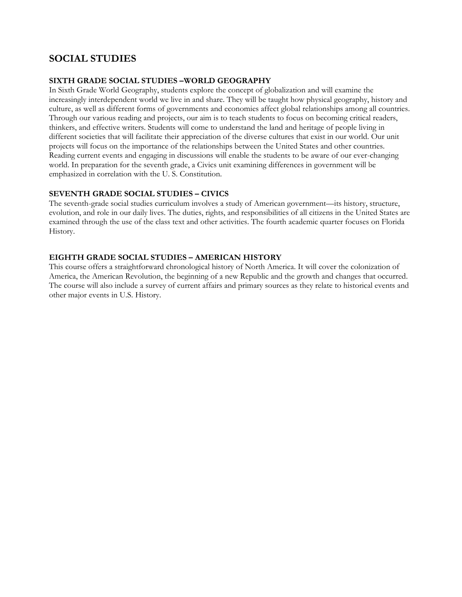## **SOCIAL STUDIES**

## **SIXTH GRADE SOCIAL STUDIES –WORLD GEOGRAPHY**

In Sixth Grade World Geography, students explore the concept of globalization and will examine the increasingly interdependent world we live in and share. They will be taught how physical geography, history and culture, as well as different forms of governments and economies affect global relationships among all countries. Through our various reading and projects, our aim is to teach students to focus on becoming critical readers, thinkers, and effective writers. Students will come to understand the land and heritage of people living in different societies that will facilitate their appreciation of the diverse cultures that exist in our world. Our unit projects will focus on the importance of the relationships between the United States and other countries. Reading current events and engaging in discussions will enable the students to be aware of our ever-changing world. In preparation for the seventh grade, a Civics unit examining differences in government will be emphasized in correlation with the U. S. Constitution.

## **SEVENTH GRADE SOCIAL STUDIES – CIVICS**

The seventh-grade social studies curriculum involves a study of American government—its history, structure, evolution, and role in our daily lives. The duties, rights, and responsibilities of all citizens in the United States are examined through the use of the class text and other activities. The fourth academic quarter focuses on Florida History.

## **EIGHTH GRADE SOCIAL STUDIES – AMERICAN HISTORY**

This course offers a straightforward chronological history of North America. It will cover the colonization of America, the American Revolution, the beginning of a new Republic and the growth and changes that occurred. The course will also include a survey of current affairs and primary sources as they relate to historical events and other major events in U.S. History.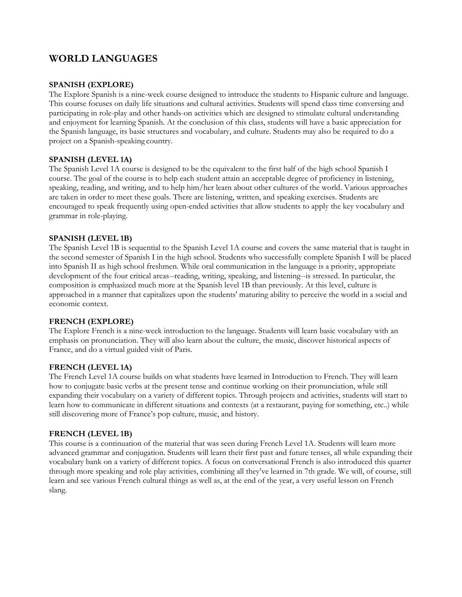## **WORLD LANGUAGES**

## **SPANISH (EXPLORE)**

The Explore Spanish is a nine-week course designed to introduce the students to Hispanic culture and language. This course focuses on daily life situations and cultural activities. Students will spend class time conversing and participating in role-play and other hands-on activities which are designed to stimulate cultural understanding and enjoyment for learning Spanish. At the conclusion of this class, students will have a basic appreciation for the Spanish language, its basic structures and vocabulary, and culture. Students may also be required to do a project on a Spanish-speaking country.

## **SPANISH (LEVEL 1A)**

The Spanish Level 1A course is designed to be the equivalent to the first half of the high school Spanish I course. The goal of the course is to help each student attain an acceptable degree of proficiency in listening, speaking, reading, and writing, and to help him/her learn about other cultures of the world. Various approaches are taken in order to meet these goals. There are listening, written, and speaking exercises. Students are encouraged to speak frequently using open-ended activities that allow students to apply the key vocabulary and grammar in role-playing.

## **SPANISH (LEVEL 1B)**

The Spanish Level 1B is sequential to the Spanish Level 1A course and covers the same material that is taught in the second semester of Spanish I in the high school. Students who successfully complete Spanish I will be placed into Spanish II as high school freshmen. While oral communication in the language is a priority, appropriate development of the four critical areas--reading, writing, speaking, and listening--is stressed. In particular, the composition is emphasized much more at the Spanish level 1B than previously. At this level, culture is approached in a manner that capitalizes upon the students' maturing ability to perceive the world in a social and economic context.

## **FRENCH (EXPLORE)**

The Explore French is a nine-week introduction to the language. Students will learn basic vocabulary with an emphasis on pronunciation. They will also learn about the culture, the music, discover historical aspects of France, and do a virtual guided visit of Paris.

## **FRENCH (LEVEL 1A)**

The French Level 1A course builds on what students have learned in Introduction to French. They will learn how to conjugate basic verbs at the present tense and continue working on their pronunciation, while still expanding their vocabulary on a variety of different topics. Through projects and activities, students will start to learn how to communicate in different situations and contexts (at a restaurant, paying for something, etc..) while still discovering more of France's pop culture, music, and history.

## **FRENCH (LEVEL 1B)**

This course is a continuation of the material that was seen during French Level 1A. Students will learn more advanced grammar and conjugation. Students will learn their first past and future tenses, all while expanding their vocabulary bank on a variety of different topics. A focus on conversational French is also introduced this quarter through more speaking and role play activities, combining all they've learned in 7th grade. We will, of course, still learn and see various French cultural things as well as, at the end of the year, a very useful lesson on French slang.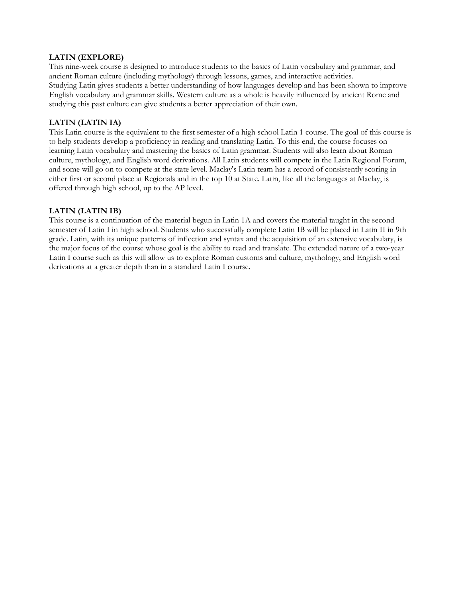#### **LATIN (EXPLORE)**

This nine-week course is designed to introduce students to the basics of Latin vocabulary and grammar, and ancient Roman culture (including mythology) through lessons, games, and interactive activities. Studying Latin gives students a better understanding of how languages develop and has been shown to improve English vocabulary and grammar skills. Western culture as a whole is heavily influenced by ancient Rome and studying this past culture can give students a better appreciation of their own.

## **LATIN (LATIN IA)**

This Latin course is the equivalent to the first semester of a high school Latin 1 course. The goal of this course is to help students develop a proficiency in reading and translating Latin. To this end, the course focuses on learning Latin vocabulary and mastering the basics of Latin grammar. Students will also learn about Roman culture, mythology, and English word derivations. All Latin students will compete in the Latin Regional Forum, and some will go on to compete at the state level. Maclay's Latin team has a record of consistently scoring in either first or second place at Regionals and in the top 10 at State. Latin, like all the languages at Maclay, is offered through high school, up to the AP level.

#### **LATIN (LATIN IB)**

This course is a continuation of the material begun in Latin 1A and covers the material taught in the second semester of Latin I in high school. Students who successfully complete Latin IB will be placed in Latin II in 9th grade. Latin, with its unique patterns of inflection and syntax and the acquisition of an extensive vocabulary, is the major focus of the course whose goal is the ability to read and translate. The extended nature of a two-year Latin I course such as this will allow us to explore Roman customs and culture, mythology, and English word derivations at a greater depth than in a standard Latin I course.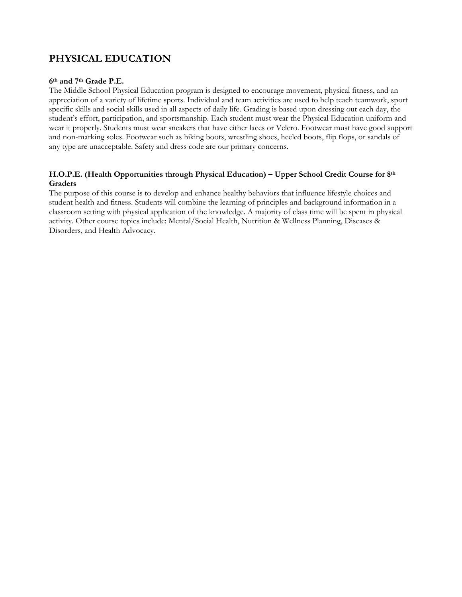## **PHYSICAL EDUCATION**

#### **6th and 7th Grade P.E.**

The Middle School Physical Education program is designed to encourage movement, physical fitness, and an appreciation of a variety of lifetime sports. Individual and team activities are used to help teach teamwork, sport specific skills and social skills used in all aspects of daily life. Grading is based upon dressing out each day, the student's effort, participation, and sportsmanship. Each student must wear the Physical Education uniform and wear it properly. Students must wear sneakers that have either laces or Velcro. Footwear must have good support and non-marking soles. Footwear such as hiking boots, wrestling shoes, heeled boots, flip flops, or sandals of any type are unacceptable. Safety and dress code are our primary concerns.

## **H.O.P.E. (Health Opportunities through Physical Education) – Upper School Credit Course for 8th Graders**

The purpose of this course is to develop and enhance healthy behaviors that influence lifestyle choices and student health and fitness. Students will combine the learning of principles and background information in a classroom setting with physical application of the knowledge. A majority of class time will be spent in physical activity. Other course topics include: Mental/Social Health, Nutrition & Wellness Planning, Diseases & Disorders, and Health Advocacy.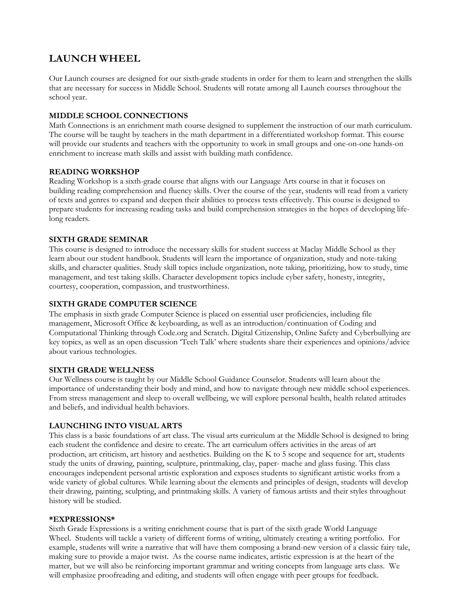## **LAUNCH WHEEL**

Our Launch courses are designed for our sixth-grade students in order for them to learn and strengthen the skills that are necessary for success in Middle School. Students will rotate among all Launch courses throughout the school year.

## **MIDDLE SCHOOL CONNECTIONS**

Math Connections is an enrichment math course designed to supplement the instruction of our math curriculum. The course will be taught by teachers in the math department in a differentiated workshop format. This course will provide our students and teachers with the opportunity to work in small groups and one-on-one hands-on enrichment to increase math skills and assist with building math confidence.

## **READING WORKSHOP**

Reading Workshop is a sixth-grade course that aligns with our Language Arts course in that it focuses on building reading comprehension and fluency skills. Over the course of the year, students will read from a variety of texts and genres to expand and deepen their abilities to process texts effectively. This course is designed to prepare students for increasing reading tasks and build comprehension strategies in the hopes of developing lifelong readers.

## **SIXTH GRADE SEMINAR**

This course is designed to introduce the necessary skills for student success at Maclay Middle School as they learn about our student handbook. Students will learn the importance of organization, study and note-taking skills, and character qualities. Study skill topics include organization, note taking, prioritizing, how to study, time management, and test taking skills. Character development topics include cyber safety, honesty, integrity, courtesy, cooperation, compassion, and trustworthiness.

## **SIXTH GRADE COMPUTER SCIENCE**

The emphasis in sixth grade Computer Science is placed on essential user proficiencies, including file management, Microsoft Office & keyboarding, as well as an introduction/continuation of Coding and Computational Thinking through Code.org and Scratch. Digital Citizenship, Online Safety and Cyberbullying are key topics, as well as an open discussion 'Tech Talk' where students share their experiences and opinions/advice about various technologies.

## **SIXTH GRADE WELLNESS**

Our Wellness course is taught by our Middle School Guidance Counselor. Students will learn about the importance of understanding their body and mind, and how to navigate through new middle school experiences. From stress management and sleep to overall wellbeing, we will explore personal health, health related attitudes and beliefs, and individual health behaviors.

## **LAUNCHING INTO VISUAL ARTS**

This class is a basic foundations of art class. The visual arts curriculum at the Middle School is designed to bring each student the confidence and desire to create. The art curriculum offers activities in the areas of art production, art criticism, art history and aesthetics. Building on the K to 5 scope and sequence for art, students study the units of drawing, painting, sculpture, printmaking, clay, paper- mache and glass fusing. This class encourages independent personal artistic exploration and exposes students to significant artistic works from a wide variety of global cultures. While learning about the elements and principles of design, students will develop their drawing, painting, sculpting, and printmaking skills. A variety of famous artists and their styles throughout history will be studied.

## **\*EXPRESSIONS\***

Sixth Grade Expressions is a writing enrichment course that is part of the sixth grade World Language Wheel. Students will tackle a variety of different forms of writing, ultimately creating a writing portfolio. For example, students will write a narrative that will have them composing a brand-new version of a classic fairy tale, making sure to provide a major twist. As the course name indicates, artistic expression is at the heart of the matter, but we will also be reinforcing important grammar and writing concepts from language arts class. We will emphasize proofreading and editing, and students will often engage with peer groups for feedback.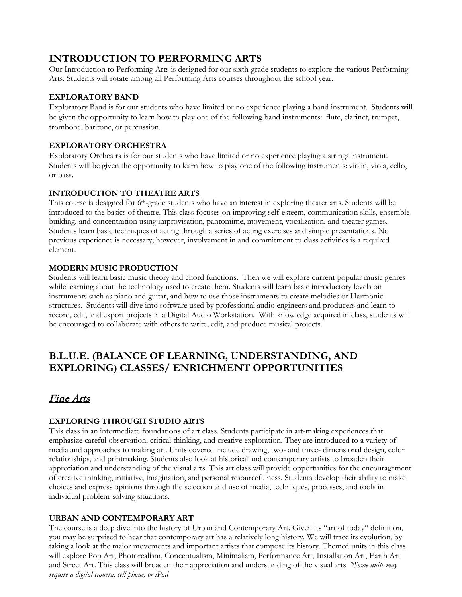## **INTRODUCTION TO PERFORMING ARTS**

Our Introduction to Performing Arts is designed for our sixth-grade students to explore the various Performing Arts. Students will rotate among all Performing Arts courses throughout the school year.

## **EXPLORATORY BAND**

Exploratory Band is for our students who have limited or no experience playing a band instrument. Students will be given the opportunity to learn how to play one of the following band instruments: flute, clarinet, trumpet, trombone, baritone, or percussion.

## **EXPLORATORY ORCHESTRA**

Exploratory Orchestra is for our students who have limited or no experience playing a strings instrument. Students will be given the opportunity to learn how to play one of the following instruments: violin, viola, cello, or bass.

## **INTRODUCTION TO THEATRE ARTS**

This course is designed for 6th-grade students who have an interest in exploring theater arts. Students will be introduced to the basics of theatre. This class focuses on improving self-esteem, communication skills, ensemble building, and concentration using improvisation, pantomime, movement, vocalization, and theater games. Students learn basic techniques of acting through a series of acting exercises and simple presentations. No previous experience is necessary; however, involvement in and commitment to class activities is a required element.

## **MODERN MUSIC PRODUCTION**

Students will learn basic music theory and chord functions. Then we will explore current popular music genres while learning about the technology used to create them. Students will learn basic introductory levels on instruments such as piano and guitar, and how to use those instruments to create melodies or Harmonic structures. Students will dive into software used by professional audio engineers and producers and learn to record, edit, and export projects in a Digital Audio Workstation. With knowledge acquired in class, students will be encouraged to collaborate with others to write, edit, and produce musical projects.

## **B.L.U.E. (BALANCE OF LEARNING, UNDERSTANDING, AND EXPLORING) CLASSES/ ENRICHMENT OPPORTUNITIES**

## Fine Arts

## **EXPLORING THROUGH STUDIO ARTS**

This class in an intermediate foundations of art class. Students participate in art-making experiences that emphasize careful observation, critical thinking, and creative exploration. They are introduced to a variety of media and approaches to making art. Units covered include drawing, two- and three- dimensional design, color relationships, and printmaking. Students also look at historical and contemporary artists to broaden their appreciation and understanding of the visual arts. This art class will provide opportunities for the encouragement of creative thinking, initiative, imagination, and personal resourcefulness. Students develop their ability to make choices and express opinions through the selection and use of media, techniques, processes, and tools in individual problem-solving situations.

## **URBAN AND CONTEMPORARY ART**

The course is a deep dive into the history of Urban and Contemporary Art. Given its "art of today" definition, you may be surprised to hear that contemporary art has a relatively long history. We will trace its evolution, by taking a look at the [major movements a](https://mymodernmet.com/important-art-movements/)nd important artists that compose its history. Themed units in this class will explore Pop Art, Photorealism, Conceptualism, Minimalism, Performance Art, Installation Art, Earth Art and Street Art. This class will broaden their appreciation and understanding of the visual arts. *\*Some units may require a digital camera, cell phone, or iPad*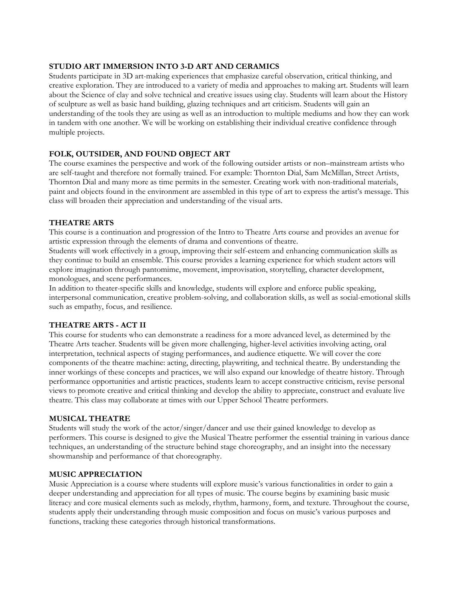## **STUDIO ART IMMERSION INTO 3-D ART AND CERAMICS**

Students participate in 3D art-making experiences that emphasize careful observation, critical thinking, and creative exploration. They are introduced to a variety of media and approaches to making art. Students will learn about the Science of clay and solve technical and creative issues using clay. Students will learn about the History of sculpture as well as basic hand building, glazing techniques and art criticism. Students will gain an understanding of the tools they are using as well as an introduction to multiple mediums and how they can work in tandem with one another. We will be working on establishing their individual creative confidence through multiple projects.

## **FOLK, OUTSIDER, AND FOUND OBJECT ART**

The course examines the perspective and work of the following outsider artists or non–mainstream artists who are self-taught and therefore not formally trained. For example: Thornton Dial, Sam McMillan, Street Artists, Thornton Dial and many more as time permits in the semester. Creating work with non-traditional materials, paint and objects found in the environment are assembled in this type of art to express the artist's message. This class will broaden their appreciation and understanding of the visual arts.

## **THEATRE ARTS**

This course is a continuation and progression of the Intro to Theatre Arts course and provides an avenue for artistic expression through the elements of drama and conventions of theatre.

Students will work effectively in a group, improving their self-esteem and enhancing communication skills as they continue to build an ensemble. This course provides a learning experience for which student actors will explore imagination through pantomime, movement, improvisation, storytelling, character development, monologues, and scene performances.

In addition to theater-specific skills and knowledge, students will explore and enforce public speaking, interpersonal communication, creative problem-solving, and collaboration skills, as well as social-emotional skills such as empathy, focus, and resilience.

## **THEATRE ARTS - ACT II**

This course for students who can demonstrate a readiness for a more advanced level, as determined by the Theatre Arts teacher. Students will be given more challenging, higher-level activities involving acting, oral interpretation, technical aspects of staging performances, and audience etiquette. We will cover the core components of the theatre machine: acting, directing, playwriting, and technical theatre. By understanding the inner workings of these concepts and practices, we will also expand our knowledge of theatre history. Through performance opportunities and artistic practices, students learn to accept constructive criticism, revise personal views to promote creative and critical thinking and develop the ability to appreciate, construct and evaluate live theatre. This class may collaborate at times with our Upper School Theatre performers.

## **MUSICAL THEATRE**

Students will study the work of the actor/singer/dancer and use their gained knowledge to develop as performers. This course is designed to give the Musical Theatre performer the essential training in various dance techniques, an understanding of the structure behind stage choreography, and an insight into the necessary showmanship and performance of that choreography.

## **MUSIC APPRECIATION**

Music Appreciation is a course where students will explore music's various functionalities in order to gain a deeper understanding and appreciation for all types of music. The course begins by examining basic music literacy and core musical elements such as melody, rhythm, harmony, form, and texture. Throughout the course, students apply their understanding through music composition and focus on music's various purposes and functions, tracking these categories through historical transformations.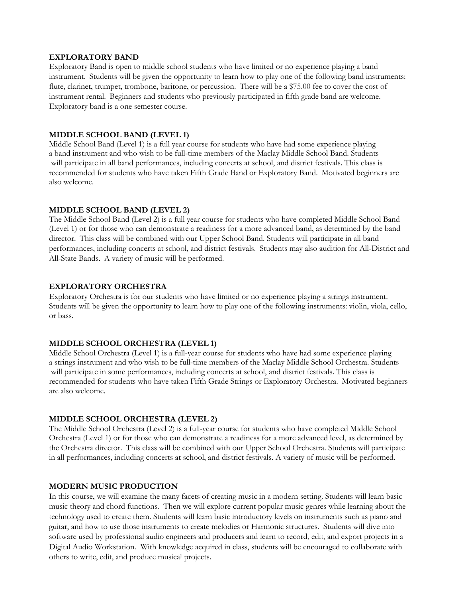#### **EXPLORATORY BAND**

Exploratory Band is open to middle school students who have limited or no experience playing a band instrument. Students will be given the opportunity to learn how to play one of the following band instruments: flute, clarinet, trumpet, trombone, baritone, or percussion. There will be a \$75.00 fee to cover the cost of instrument rental. Beginners and students who previously participated in fifth grade band are welcome. Exploratory band is a one semester course.

## **MIDDLE SCHOOL BAND (LEVEL 1)**

Middle School Band (Level 1) is a full year course for students who have had some experience playing a band instrument and who wish to be full-time members of the Maclay Middle School Band. Students will participate in all band performances, including concerts at school, and district festivals. This class is recommended for students who have taken Fifth Grade Band or Exploratory Band. Motivated beginners are also welcome.

## **MIDDLE SCHOOL BAND (LEVEL 2)**

The Middle School Band (Level 2) is a full year course for students who have completed Middle School Band (Level 1) or for those who can demonstrate a readiness for a more advanced band, as determined by the band director. This class will be combined with our Upper School Band. Students will participate in all band performances, including concerts at school, and district festivals. Students may also audition for All-District and All-State Bands. A variety of music will be performed.

## **EXPLORATORY ORCHESTRA**

Exploratory Orchestra is for our students who have limited or no experience playing a strings instrument. Students will be given the opportunity to learn how to play one of the following instruments: violin, viola, cello, or bass.

## **MIDDLE SCHOOL ORCHESTRA (LEVEL 1)**

Middle School Orchestra (Level 1) is a full-year course for students who have had some experience playing a strings instrument and who wish to be full-time members of the Maclay Middle School Orchestra. Students will participate in some performances, including concerts at school, and district festivals. This class is recommended for students who have taken Fifth Grade Strings or Exploratory Orchestra. Motivated beginners are also welcome.

## **MIDDLE SCHOOL ORCHESTRA (LEVEL 2)**

The Middle School Orchestra (Level 2) is a full-year course for students who have completed Middle School Orchestra (Level 1) or for those who can demonstrate a readiness for a more advanced level, as determined by the Orchestra director. This class will be combined with our Upper School Orchestra. Students will participate in all performances, including concerts at school, and district festivals. A variety of music will be performed.

## **MODERN MUSIC PRODUCTION**

In this course, we will examine the many facets of creating music in a modern setting. Students will learn basic music theory and chord functions. Then we will explore current popular music genres while learning about the technology used to create them. Students will learn basic introductory levels on instruments such as piano and guitar, and how to use those instruments to create melodies or Harmonic structures. Students will dive into software used by professional audio engineers and producers and learn to record, edit, and export projects in a Digital Audio Workstation. With knowledge acquired in class, students will be encouraged to collaborate with others to write, edit, and produce musical projects.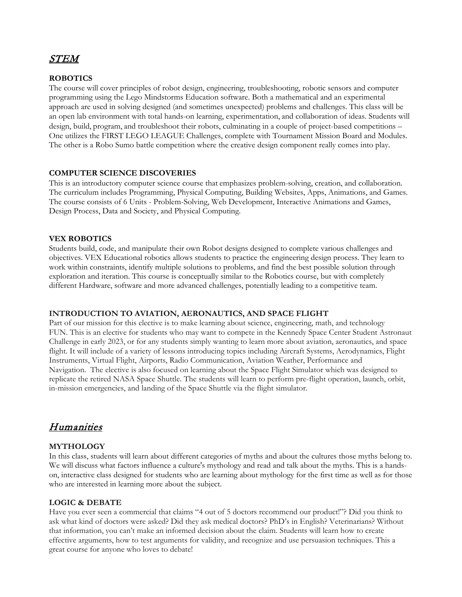## STEM

#### **ROBOTICS**

The course will cover principles of robot design, engineering, troubleshooting, robotic sensors and computer programming using the Lego Mindstorms Education software. Both a mathematical and an experimental approach are used in solving designed (and sometimes unexpected) problems and challenges. This class will be an open lab environment with total hands-on learning, experimentation, and collaboration of ideas. Students will design, build, program, and troubleshoot their robots, culminating in a couple of project-based competitions – One utilizes the FIRST LEGO LEAGUE Challenges, complete with Tournament Mission Board and Modules. The other is a Robo Sumo battle competition where the creative design component really comes into play.

#### **COMPUTER SCIENCE DISCOVERIES**

This is an introductory computer science course that emphasizes problem-solving, creation, and collaboration. The curriculum includes Programming, Physical Computing, Building Websites, Apps, Animations, and Games. The course consists of 6 Units - Problem-Solving, Web Development, Interactive Animations and Games, Design Process, Data and Society, and Physical Computing.

#### **VEX ROBOTICS**

Students build, code, and manipulate their own Robot designs designed to complete various challenges and objectives. VEX Educational robotics allows students to practice the engineering design process. They learn to work within constraints, identify multiple solutions to problems, and find the best possible solution through exploration and iteration. This course is conceptually similar to the Robotics course, but with completely different Hardware, software and more advanced challenges, potentially leading to a competitive team.

#### **INTRODUCTION TO AVIATION, AERONAUTICS, AND SPACE FLIGHT**

Part of our mission for this elective is to make learning about science, engineering, math, and technology FUN. This is an elective for students who may want to compete in the Kennedy Space Center Student Astronaut Challenge in early 2023, or for any students simply wanting to learn more about aviation, aeronautics, and space flight. It will include of a variety of lessons introducing topics including Aircraft Systems, Aerodynamics, Flight Instruments, Virtual Flight, Airports, Radio Communication, Aviation Weather, Performance and Navigation. The elective is also focused on learning about the Space Flight Simulator which was designed to replicate the retired NASA Space Shuttle. The students will learn to perform pre-flight operation, launch, orbit, in-mission emergencies, and landing of the Space Shuttle via the flight simulator.

## Humanities

## **MYTHOLOGY**

In this class, students will learn about different categories of myths and about the cultures those myths belong to. We will discuss what factors influence a culture's mythology and read and talk about the myths. This is a handson, interactive class designed for students who are learning about mythology for the first time as well as for those who are interested in learning more about the subject.

#### **LOGIC & DEBATE**

Have you ever seen a commercial that claims "4 out of 5 doctors recommend our product!"? Did you think to ask what kind of doctors were asked? Did they ask medical doctors? PhD's in English? Veterinarians? Without that information, you can't make an informed decision about the claim. Students will learn how to create effective arguments, how to test arguments for validity, and recognize and use persuasion techniques. This a great course for anyone who loves to debate!